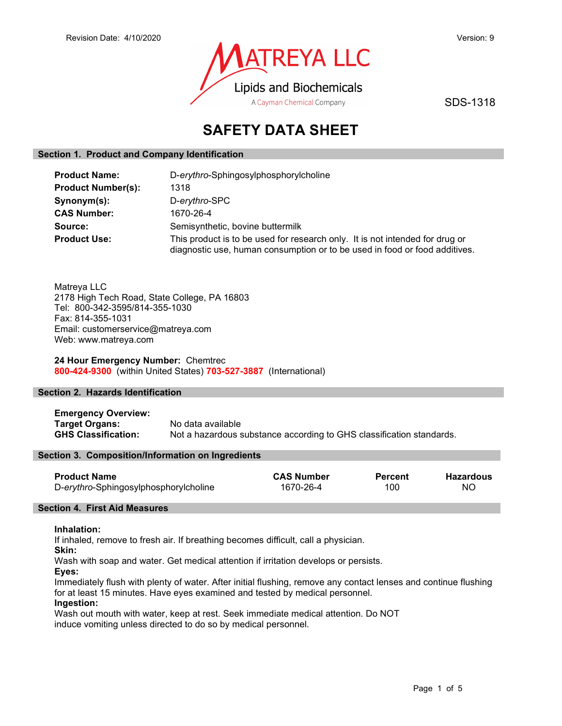

SDS-1318

# SAFETY DATA SHEET

# Section 1. Product and Company Identification

| <b>Product Name:</b>      | D-erythro-Sphingosylphosphorylcholine                                                                                                                      |  |
|---------------------------|------------------------------------------------------------------------------------------------------------------------------------------------------------|--|
| <b>Product Number(s):</b> | 1318                                                                                                                                                       |  |
| Synonym(s):               | D-erythro-SPC                                                                                                                                              |  |
| <b>CAS Number:</b>        | 1670-26-4                                                                                                                                                  |  |
| Source:                   | Semisynthetic, bovine buttermilk                                                                                                                           |  |
| <b>Product Use:</b>       | This product is to be used for research only. It is not intended for drug or<br>diagnostic use, human consumption or to be used in food or food additives. |  |

Matreya LLC 2178 High Tech Road, State College, PA 16803 Tel: 800-342-3595/814-355-1030 Fax: 814-355-1031 Email: customerservice@matreya.com Web: www.matreya.com

24 Hour Emergency Number: Chemtrec 800-424-9300 (within United States) 703-527-3887 (International)

# Section 2. Hazards Identification

Emergency Overview: Target Organs: No data available GHS Classification: Not a hazardous substance according to GHS classification standards.

# Section 3. Composition/Information on Ingredients

| <b>Product Name</b>                   | <b>CAS Number</b> | <b>Percent</b> | Hazardous |
|---------------------------------------|-------------------|----------------|-----------|
| D-erythro-Sphingosylphosphorylcholine | 1670-26-4         | 100            | NC        |

# Section 4. First Aid Measures

# Inhalation:

If inhaled, remove to fresh air. If breathing becomes difficult, call a physician.

Skin:

Wash with soap and water. Get medical attention if irritation develops or persists.

Eyes:

Immediately flush with plenty of water. After initial flushing, remove any contact lenses and continue flushing for at least 15 minutes. Have eyes examined and tested by medical personnel.

# Ingestion:

Wash out mouth with water, keep at rest. Seek immediate medical attention. Do NOT induce vomiting unless directed to do so by medical personnel.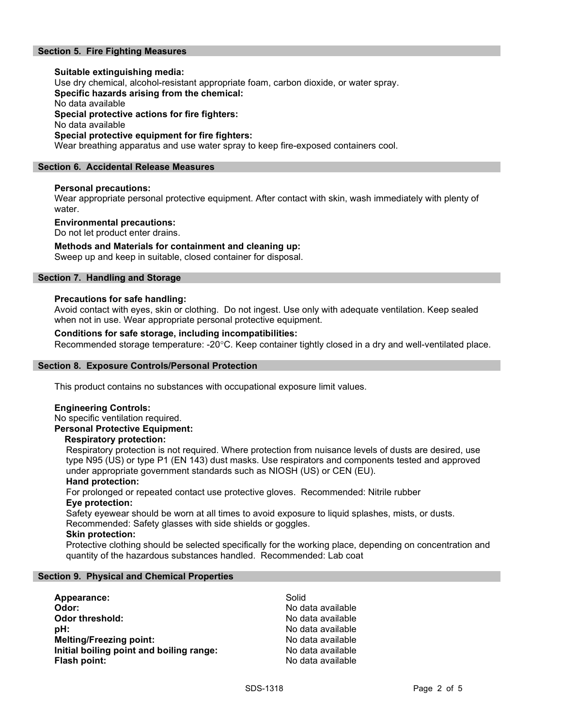# Section 5. Fire Fighting Measures

# Suitable extinguishing media: Use dry chemical, alcohol-resistant appropriate foam, carbon dioxide, or water spray. Specific hazards arising from the chemical: No data available Special protective actions for fire fighters: No data available Special protective equipment for fire fighters:

Wear breathing apparatus and use water spray to keep fire-exposed containers cool.

# Section 6. Accidental Release Measures

# Personal precautions:

Wear appropriate personal protective equipment. After contact with skin, wash immediately with plenty of water.

#### Environmental precautions:

Do not let product enter drains.

#### Methods and Materials for containment and cleaning up:

Sweep up and keep in suitable, closed container for disposal.

# Section 7. Handling and Storage

#### Precautions for safe handling:

Avoid contact with eyes, skin or clothing. Do not ingest. Use only with adequate ventilation. Keep sealed when not in use. Wear appropriate personal protective equipment.

# Conditions for safe storage, including incompatibilities:

Recommended storage temperature: -20°C. Keep container tightly closed in a dry and well-ventilated place.

#### Section 8. Exposure Controls/Personal Protection

This product contains no substances with occupational exposure limit values.

#### Engineering Controls:

No specific ventilation required. Personal Protective Equipment:

#### Respiratory protection:

Respiratory protection is not required. Where protection from nuisance levels of dusts are desired, use type N95 (US) or type P1 (EN 143) dust masks. Use respirators and components tested and approved under appropriate government standards such as NIOSH (US) or CEN (EU).

#### Hand protection:

For prolonged or repeated contact use protective gloves. Recommended: Nitrile rubber Eye protection:

Safety eyewear should be worn at all times to avoid exposure to liquid splashes, mists, or dusts. Recommended: Safety glasses with side shields or goggles.

#### Skin protection:

Protective clothing should be selected specifically for the working place, depending on concentration and quantity of the hazardous substances handled. Recommended: Lab coat

#### Section 9. Physical and Chemical Properties

| Appearance:                              | Solid             |
|------------------------------------------|-------------------|
| Odor:                                    | No data available |
| <b>Odor threshold:</b>                   | No data available |
| pH:                                      | No data available |
| <b>Melting/Freezing point:</b>           | No data available |
| Initial boiling point and boiling range: | No data available |
| Flash point:                             | No data available |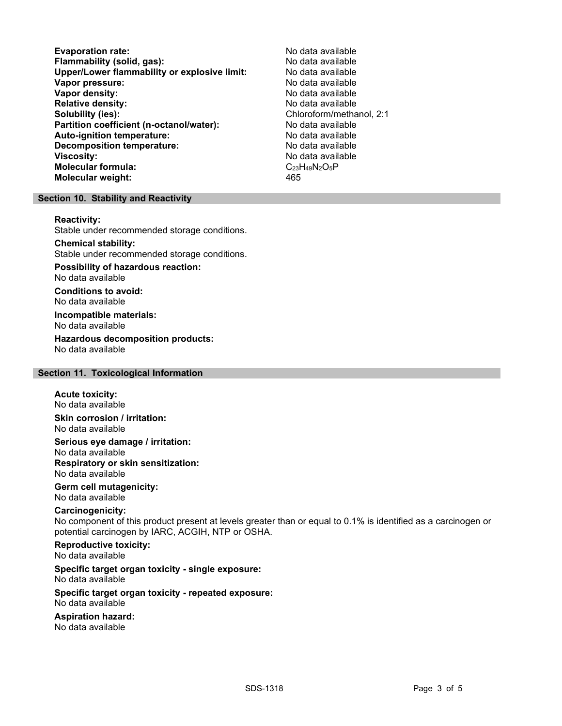Evaporation rate:<br>
Flammability (solid. gas): No data available Flammability (solid, gas):<br>
Upper/Lower flammability or explosive limit: No data available Upper/Lower flammability or explosive limit: Vapor pressure:  $\blacksquare$ Vapor density: No data available Relative density:<br>
Solubility (ies):<br>
Solubility (ies):<br>
No data available<br>
Chloroform/metha Partition coefficient (n-octanol/water): No data available Auto-ignition temperature: No data available Decomposition temperature: No data available Viscosity: No data available Molecular formula: C<sub>23</sub>H<sub>49</sub>N<sub>2</sub>O<sub>5</sub>P Molecular weight: 465

Chloroform/methanol, 2:1

#### Section 10. Stability and Reactivity

#### Reactivity:

Stable under recommended storage conditions.

### Chemical stability:

Stable under recommended storage conditions.

# Possibility of hazardous reaction:

No data available

Conditions to avoid: No data available

#### Incompatible materials: No data available

Hazardous decomposition products: No data available

# Section 11. Toxicological Information

#### Acute toxicity: No data available

Skin corrosion / irritation: No data available

Serious eye damage / irritation: No data available Respiratory or skin sensitization: No data available

#### Germ cell mutagenicity: No data available

# Carcinogenicity:

No component of this product present at levels greater than or equal to 0.1% is identified as a carcinogen or potential carcinogen by IARC, ACGIH, NTP or OSHA.

# Reproductive toxicity:

No data available

# Specific target organ toxicity - single exposure:

No data available

#### Specific target organ toxicity - repeated exposure: No data available

# Aspiration hazard:

No data available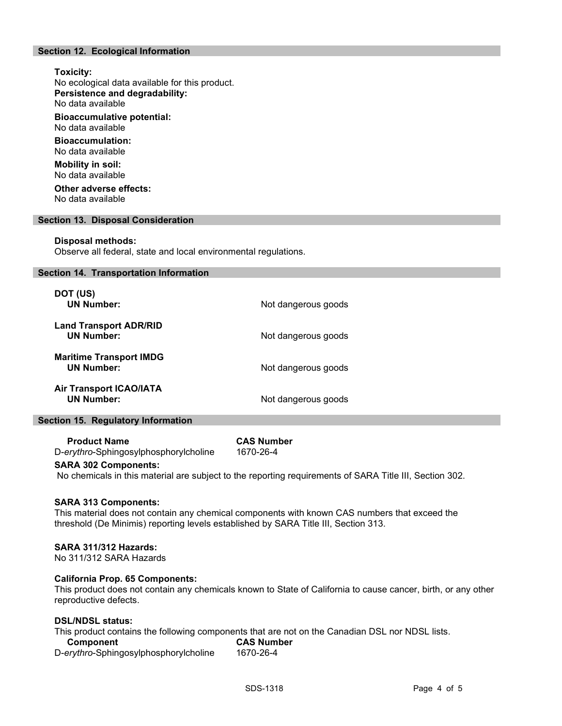# Section 12. Ecological Information

# Toxicity: No ecological data available for this product. Persistence and degradability: No data available Bioaccumulative potential: No data available

Bioaccumulation: No data available

Mobility in soil: No data available

Other adverse effects: No data available

#### Section 13. Disposal Consideration

#### Disposal methods:

Observe all federal, state and local environmental regulations.

#### Section 14. Transportation Information

| DOT (US)<br><b>UN Number:</b>                       | Not dangerous goods |
|-----------------------------------------------------|---------------------|
| <b>Land Transport ADR/RID</b><br><b>UN Number:</b>  | Not dangerous goods |
| <b>Maritime Transport IMDG</b><br><b>UN Number:</b> | Not dangerous goods |
| <b>Air Transport ICAO/IATA</b><br><b>UN Number:</b> | Not dangerous goods |

#### Section 15. Regulatory Information

Product Name CAS Number D-erythro-Sphingosylphosphorylcholine 1670-26-4

# SARA 302 Components:

No chemicals in this material are subject to the reporting requirements of SARA Title III, Section 302.

#### SARA 313 Components:

This material does not contain any chemical components with known CAS numbers that exceed the threshold (De Minimis) reporting levels established by SARA Title III, Section 313.

# SARA 311/312 Hazards:

No 311/312 SARA Hazards

#### California Prop. 65 Components:

This product does not contain any chemicals known to State of California to cause cancer, birth, or any other reproductive defects.

# DSL/NDSL status:

This product contains the following components that are not on the Canadian DSL nor NDSL lists.

| Component                             | <b>CAS Number</b> |  |
|---------------------------------------|-------------------|--|
| D-erythro-Sphingosylphosphorylcholine | 1670-26-4         |  |